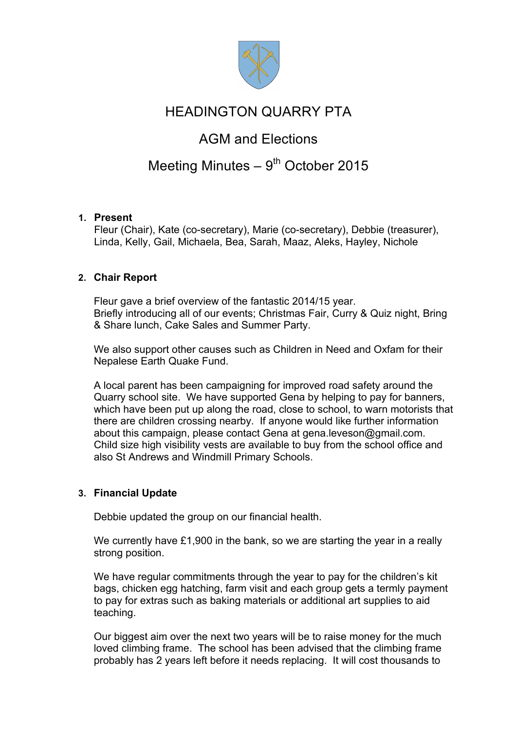

## HEADINGTON QUARRY PTA

## AGM and Elections

# Meeting Minutes  $-9<sup>th</sup>$  October 2015

## **1. Present**

Fleur (Chair), Kate (co-secretary), Marie (co-secretary), Debbie (treasurer), Linda, Kelly, Gail, Michaela, Bea, Sarah, Maaz, Aleks, Hayley, Nichole

### **2. Chair Report**

Fleur gave a brief overview of the fantastic 2014/15 year. Briefly introducing all of our events; Christmas Fair, Curry & Quiz night, Bring & Share lunch, Cake Sales and Summer Party.

We also support other causes such as Children in Need and Oxfam for their Nepalese Earth Quake Fund.

A local parent has been campaigning for improved road safety around the Quarry school site. We have supported Gena by helping to pay for banners, which have been put up along the road, close to school, to warn motorists that there are children crossing nearby. If anyone would like further information about this campaign, please contact Gena at gena.leveson@gmail.com. Child size high visibility vests are available to buy from the school office and also St Andrews and Windmill Primary Schools.

## **3. Financial Update**

Debbie updated the group on our financial health.

We currently have £1,900 in the bank, so we are starting the year in a really strong position.

We have regular commitments through the year to pay for the children's kit bags, chicken egg hatching, farm visit and each group gets a termly payment to pay for extras such as baking materials or additional art supplies to aid teaching.

Our biggest aim over the next two years will be to raise money for the much loved climbing frame. The school has been advised that the climbing frame probably has 2 years left before it needs replacing. It will cost thousands to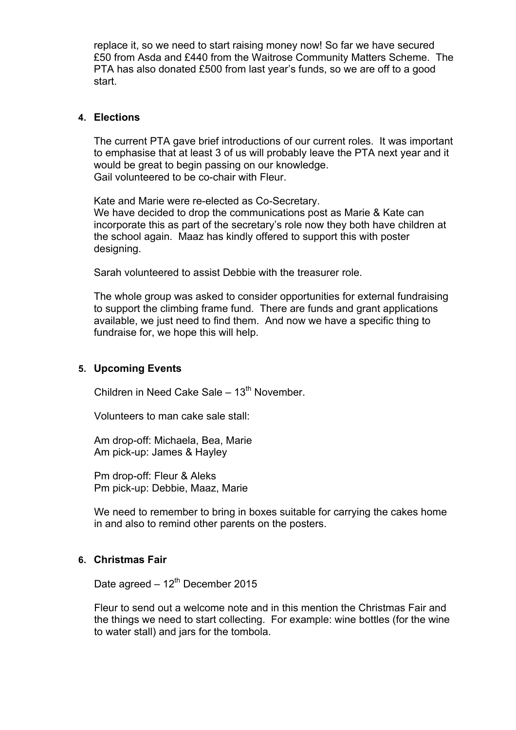replace it, so we need to start raising money now! So far we have secured £50 from Asda and £440 from the Waitrose Community Matters Scheme. The PTA has also donated £500 from last year's funds, so we are off to a good start.

#### **4. Elections**

The current PTA gave brief introductions of our current roles. It was important to emphasise that at least 3 of us will probably leave the PTA next year and it would be great to begin passing on our knowledge. Gail volunteered to be co-chair with Fleur.

Kate and Marie were re-elected as Co-Secretary. We have decided to drop the communications post as Marie & Kate can incorporate this as part of the secretary's role now they both have children at the school again. Maaz has kindly offered to support this with poster designing.

Sarah volunteered to assist Debbie with the treasurer role.

The whole group was asked to consider opportunities for external fundraising to support the climbing frame fund. There are funds and grant applications available, we just need to find them. And now we have a specific thing to fundraise for, we hope this will help.

#### **5. Upcoming Events**

Children in Need Cake Sale –  $13<sup>th</sup>$  November.

Volunteers to man cake sale stall:

Am drop-off: Michaela, Bea, Marie Am pick-up: James & Hayley

Pm drop-off: Fleur & Aleks Pm pick-up: Debbie, Maaz, Marie

We need to remember to bring in boxes suitable for carrying the cakes home in and also to remind other parents on the posters.

### **6. Christmas Fair**

Date agreed  $-12^{th}$  December 2015

Fleur to send out a welcome note and in this mention the Christmas Fair and the things we need to start collecting. For example: wine bottles (for the wine to water stall) and jars for the tombola.